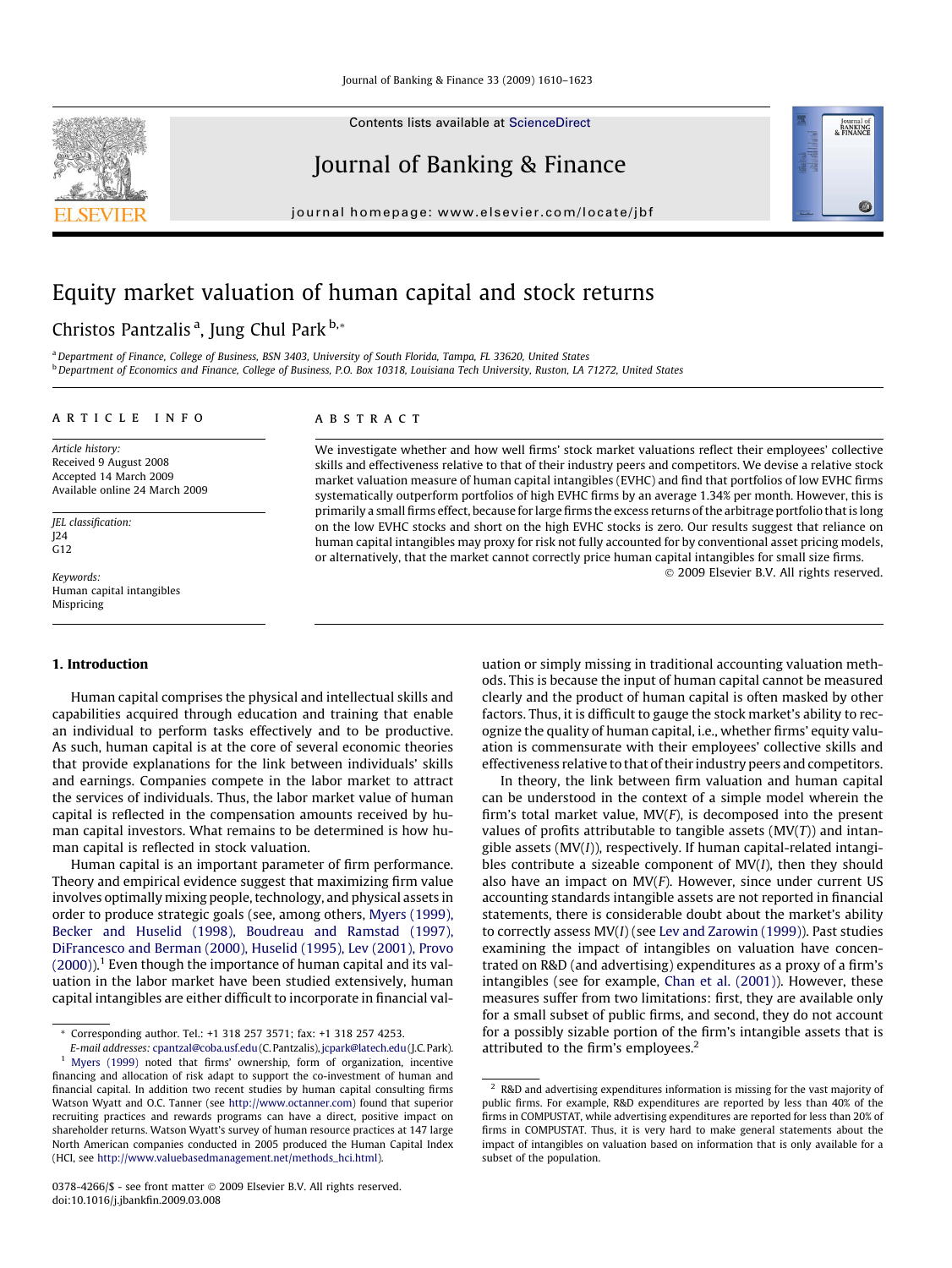Contents lists available at [ScienceDirect](http://www.sciencedirect.com/science/journal/03784266)

## Journal of Banking & Finance

journal homepage: [www.elsevier.com/locate/jbf](http://www.elsevier.com/locate/jbf)



## Christos Pantzalis<sup>a</sup>, Jung Chul Park <sup>b,</sup>\*

<sup>a</sup> Department of Finance, College of Business, BSN 3403, University of South Florida, Tampa, FL 33620, United States bDepartment of Economics and Finance, College of Business, P.O. Box 10318, Louisiana Tech University, Ruston, LA 71272, United States

**ABSTRACT** 

#### article info

#### Article history: Received 9 August 2008 Accepted 14 March 2009 Available online 24 March 2009

JEL classification: J24  $G12$ 

Keywords: Human capital intangibles Mispricing

### 1. Introduction

Human capital comprises the physical and intellectual skills and capabilities acquired through education and training that enable an individual to perform tasks effectively and to be productive. As such, human capital is at the core of several economic theories that provide explanations for the link between individuals' skills and earnings. Companies compete in the labor market to attract the services of individuals. Thus, the labor market value of human capital is reflected in the compensation amounts received by human capital investors. What remains to be determined is how human capital is reflected in stock valuation.

Human capital is an important parameter of firm performance. Theory and empirical evidence suggest that maximizing firm value involves optimally mixing people, technology, and physical assets in order to produce strategic goals (see, among others, [Myers \(1999\),](#page--1-0) [Becker and Huselid \(1998\), Boudreau and Ramstad \(1997\),](#page--1-0) [DiFrancesco and Berman \(2000\), Huselid \(1995\), Lev \(2001\), Provo](#page--1-0)  $(2000)$ ).<sup>1</sup> Even though the importance of human capital and its valuation in the labor market have been studied extensively, human capital intangibles are either difficult to incorporate in financial val-

## We investigate whether and how well firms' stock market valuations reflect their employees' collective skills and effectiveness relative to that of their industry peers and competitors. We devise a relative stock market valuation measure of human capital intangibles (EVHC) and find that portfolios of low EVHC firms systematically outperform portfolios of high EVHC firms by an average 1.34% per month. However, this is primarily a small firms effect, because for large firms the excess returns of the arbitrage portfolio that is long

on the low EVHC stocks and short on the high EVHC stocks is zero. Our results suggest that reliance on human capital intangibles may proxy for risk not fully accounted for by conventional asset pricing models,

or alternatively, that the market cannot correctly price human capital intangibles for small size firms. - 2009 Elsevier B.V. All rights reserved.

> uation or simply missing in traditional accounting valuation methods. This is because the input of human capital cannot be measured clearly and the product of human capital is often masked by other factors. Thus, it is difficult to gauge the stock market's ability to recognize the quality of human capital, i.e., whether firms' equity valuation is commensurate with their employees' collective skills and effectiveness relative to that of their industry peers and competitors.

> In theory, the link between firm valuation and human capital can be understood in the context of a simple model wherein the firm's total market value,  $MV(F)$ , is decomposed into the present values of profits attributable to tangible assets  $(MV(T))$  and intangible assets (MV(I)), respectively. If human capital-related intangibles contribute a sizeable component of  $MV(I)$ , then they should also have an impact on  $MV(F)$ . However, since under current US accounting standards intangible assets are not reported in financial statements, there is considerable doubt about the market's ability to correctly assess MV(I) (see [Lev and Zarowin \(1999\)](#page--1-0)). Past studies examining the impact of intangibles on valuation have concentrated on R&D (and advertising) expenditures as a proxy of a firm's intangibles (see for example, [Chan et al. \(2001\)](#page--1-0)). However, these measures suffer from two limitations: first, they are available only for a small subset of public firms, and second, they do not account for a possibly sizable portion of the firm's intangible assets that is attributed to the firm's employees.<sup>2</sup>





<sup>\*</sup> Corresponding author. Tel.: +1 318 257 3571; fax: +1 318 257 4253.

E-mail addresses: [cpantzal@coba.usf.edu](mailto:cpantzal@coba.usf.edu)(C.Pantzalis),[jcpark@latech.edu](mailto:jcpark@latech.edu )(J.C. Park). <sup>1</sup> [Myers \(1999\)](#page--1-0) noted that firms' ownership, form of organization, incentive financing and allocation of risk adapt to support the co-investment of human and financial capital. In addition two recent studies by human capital consulting firms Watson Wyatt and O.C. Tanner (see <http://www.octanner.com>) found that superior recruiting practices and rewards programs can have a direct, positive impact on shareholder returns. Watson Wyatt's survey of human resource practices at 147 large North American companies conducted in 2005 produced the Human Capital Index (HCI, see [http://www.valuebasedmanagement.net/methods\\_hci.html](http://www.valuebasedmanagement.net/methods_hci.html)).

 $^{\rm 2}$  R&D and advertising expenditures information is missing for the vast majority of public firms. For example, R&D expenditures are reported by less than 40% of the firms in COMPUSTAT, while advertising expenditures are reported for less than 20% of firms in COMPUSTAT. Thus, it is very hard to make general statements about the impact of intangibles on valuation based on information that is only available for a subset of the population.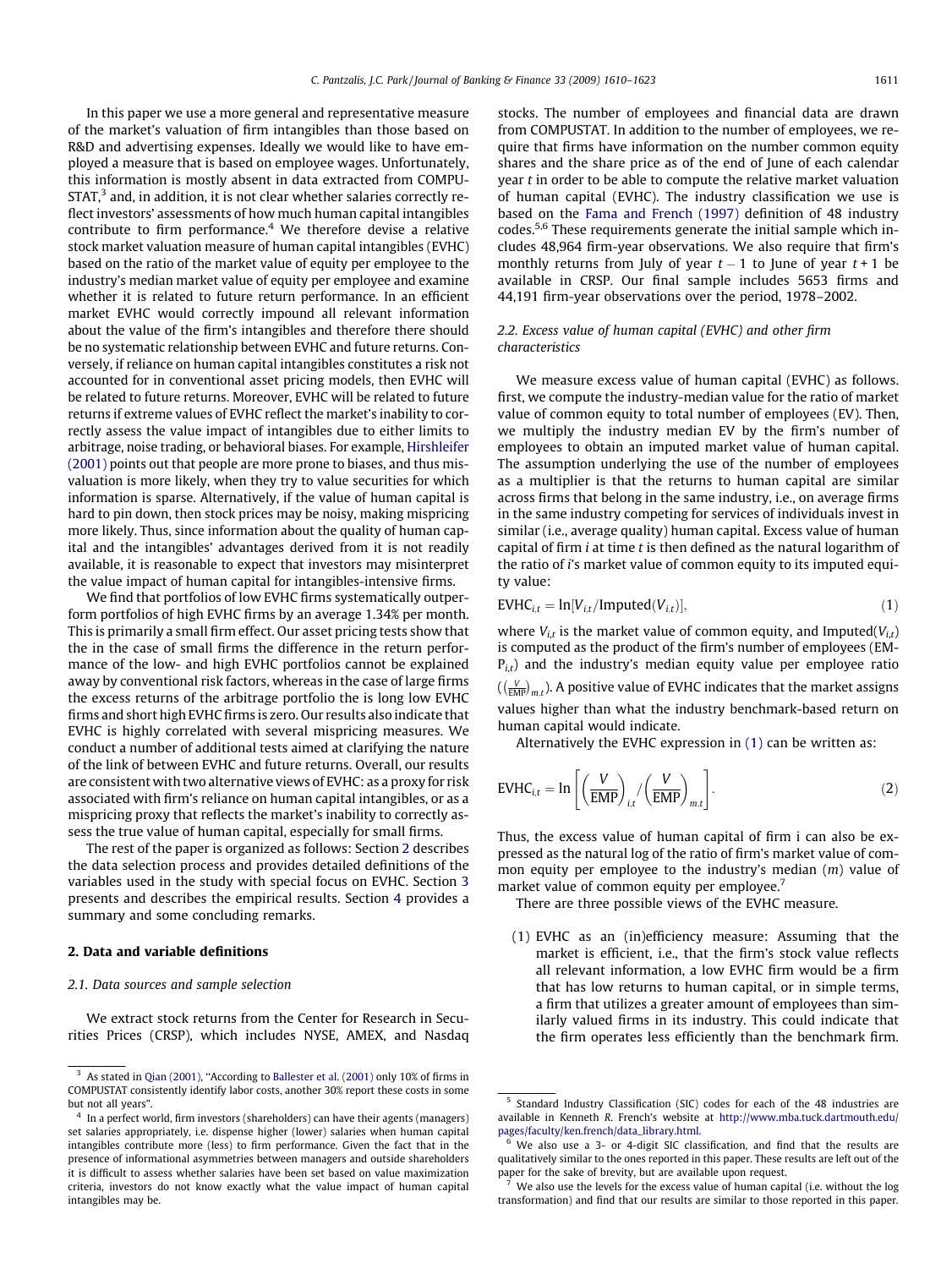In this paper we use a more general and representative measure of the market's valuation of firm intangibles than those based on R&D and advertising expenses. Ideally we would like to have employed a measure that is based on employee wages. Unfortunately, this information is mostly absent in data extracted from COMPU- $STAT<sup>3</sup>$  and, in addition, it is not clear whether salaries correctly reflect investors' assessments of how much human capital intangibles contribute to firm performance.<sup>4</sup> We therefore devise a relative stock market valuation measure of human capital intangibles (EVHC) based on the ratio of the market value of equity per employee to the industry's median market value of equity per employee and examine whether it is related to future return performance. In an efficient market EVHC would correctly impound all relevant information about the value of the firm's intangibles and therefore there should be no systematic relationship between EVHC and future returns. Conversely, if reliance on human capital intangibles constitutes a risk not accounted for in conventional asset pricing models, then EVHC will be related to future returns. Moreover, EVHC will be related to future returns if extreme values of EVHC reflect the market's inability to correctly assess the value impact of intangibles due to either limits to arbitrage, noise trading, or behavioral biases. For example, [Hirshleifer](#page--1-0) [\(2001\)](#page--1-0) points out that people are more prone to biases, and thus misvaluation is more likely, when they try to value securities for which information is sparse. Alternatively, if the value of human capital is hard to pin down, then stock prices may be noisy, making mispricing more likely. Thus, since information about the quality of human capital and the intangibles' advantages derived from it is not readily available, it is reasonable to expect that investors may misinterpret the value impact of human capital for intangibles-intensive firms.

We find that portfolios of low EVHC firms systematically outperform portfolios of high EVHC firms by an average 1.34% per month. This is primarily a small firm effect. Our asset pricing tests show that the in the case of small firms the difference in the return performance of the low- and high EVHC portfolios cannot be explained away by conventional risk factors, whereas in the case of large firms the excess returns of the arbitrage portfolio the is long low EVHC firms and short high EVHC firms is zero. Our results also indicate that EVHC is highly correlated with several mispricing measures. We conduct a number of additional tests aimed at clarifying the nature of the link of between EVHC and future returns. Overall, our results are consistent with two alternative views of EVHC: as a proxy for risk associated with firm's reliance on human capital intangibles, or as a mispricing proxy that reflects the market's inability to correctly assess the true value of human capital, especially for small firms.

The rest of the paper is organized as follows: Section 2 describes the data selection process and provides detailed definitions of the variables used in the study with special focus on EVHC. Section [3](#page--1-0) presents and describes the empirical results. Section [4](#page--1-0) provides a summary and some concluding remarks.

### 2. Data and variable definitions

#### 2.1. Data sources and sample selection

We extract stock returns from the Center for Research in Securities Prices (CRSP), which includes NYSE, AMEX, and Nasdaq stocks. The number of employees and financial data are drawn from COMPUSTAT. In addition to the number of employees, we require that firms have information on the number common equity shares and the share price as of the end of June of each calendar year t in order to be able to compute the relative market valuation of human capital (EVHC). The industry classification we use is based on the [Fama and French \(1997\)](#page--1-0) definition of 48 industry codes.5,6 These requirements generate the initial sample which includes 48,964 firm-year observations. We also require that firm's monthly returns from July of year  $t-1$  to June of year  $t+1$  be available in CRSP. Our final sample includes 5653 firms and 44,191 firm-year observations over the period, 1978–2002.

## 2.2. Excess value of human capital (EVHC) and other firm characteristics

We measure excess value of human capital (EVHC) as follows. first, we compute the industry-median value for the ratio of market value of common equity to total number of employees (EV). Then, we multiply the industry median EV by the firm's number of employees to obtain an imputed market value of human capital. The assumption underlying the use of the number of employees as a multiplier is that the returns to human capital are similar across firms that belong in the same industry, i.e., on average firms in the same industry competing for services of individuals invest in similar (i.e., average quality) human capital. Excess value of human capital of firm  $i$  at time  $t$  is then defined as the natural logarithm of the ratio of i's market value of common equity to its imputed equity value:

$$
EVHC_{i,t} = \ln[V_{i,t}/\text{Imputed}(V_{i,t})],
$$
\n(1)

where  $V_{i,t}$  is the market value of common equity, and Imputed( $V_{i,t}$ ) is computed as the product of the firm's number of employees (EM- $P_{i,t}$ ) and the industry's median equity value per employee ratio  $\left(\binom{V}{\overline{\text{EMP}}}_{m,t}\right)$ . A positive value of EVHC indicates that the market assigns values higher than what the industry benchmark-based return on human capital would indicate.

Alternatively the EVHC expression in (1) can be written as:

$$
EVHC_{i,t} = \ln\left[\left(\frac{V}{EMP}\right)_{i,t}/\left(\frac{V}{EMP}\right)_{m,t}\right].
$$
 (2)

Thus, the excess value of human capital of firm i can also be expressed as the natural log of the ratio of firm's market value of common equity per employee to the industry's median (m) value of market value of common equity per employee.<sup>7</sup>

There are three possible views of the EVHC measure.

(1) EVHC as an (in)efficiency measure: Assuming that the market is efficient, i.e., that the firm's stock value reflects all relevant information, a low EVHC firm would be a firm that has low returns to human capital, or in simple terms, a firm that utilizes a greater amount of employees than similarly valued firms in its industry. This could indicate that the firm operates less efficiently than the benchmark firm.

<sup>&</sup>lt;sup>3</sup> As stated in [Qian \(2001\),](#page--1-0) "According to [Ballester et al. \(2001\)](#page--1-0) only 10% of firms in COMPUSTAT consistently identify labor costs, another 30% report these costs in some but not all years".

In a perfect world, firm investors (shareholders) can have their agents (managers) set salaries appropriately, i.e. dispense higher (lower) salaries when human capital intangibles contribute more (less) to firm performance. Given the fact that in the presence of informational asymmetries between managers and outside shareholders it is difficult to assess whether salaries have been set based on value maximization criteria, investors do not know exactly what the value impact of human capital intangibles may be.

<sup>5</sup> Standard Industry Classification (SIC) codes for each of the 48 industries are available in Kenneth R. French's website at [http://www.mba.tuck.dartmouth.edu/](http://www.mba.tuck.dartmouth.edu/pages/faculty/ken.french/data_library.html) [pages/faculty/ken.french/data\\_library.html](http://www.mba.tuck.dartmouth.edu/pages/faculty/ken.french/data_library.html).

We also use a 3- or 4-digit SIC classification, and find that the results are qualitatively similar to the ones reported in this paper. These results are left out of the paper for the sake of brevity, but are available upon request.

 $7$  We also use the levels for the excess value of human capital (i.e. without the log transformation) and find that our results are similar to those reported in this paper.